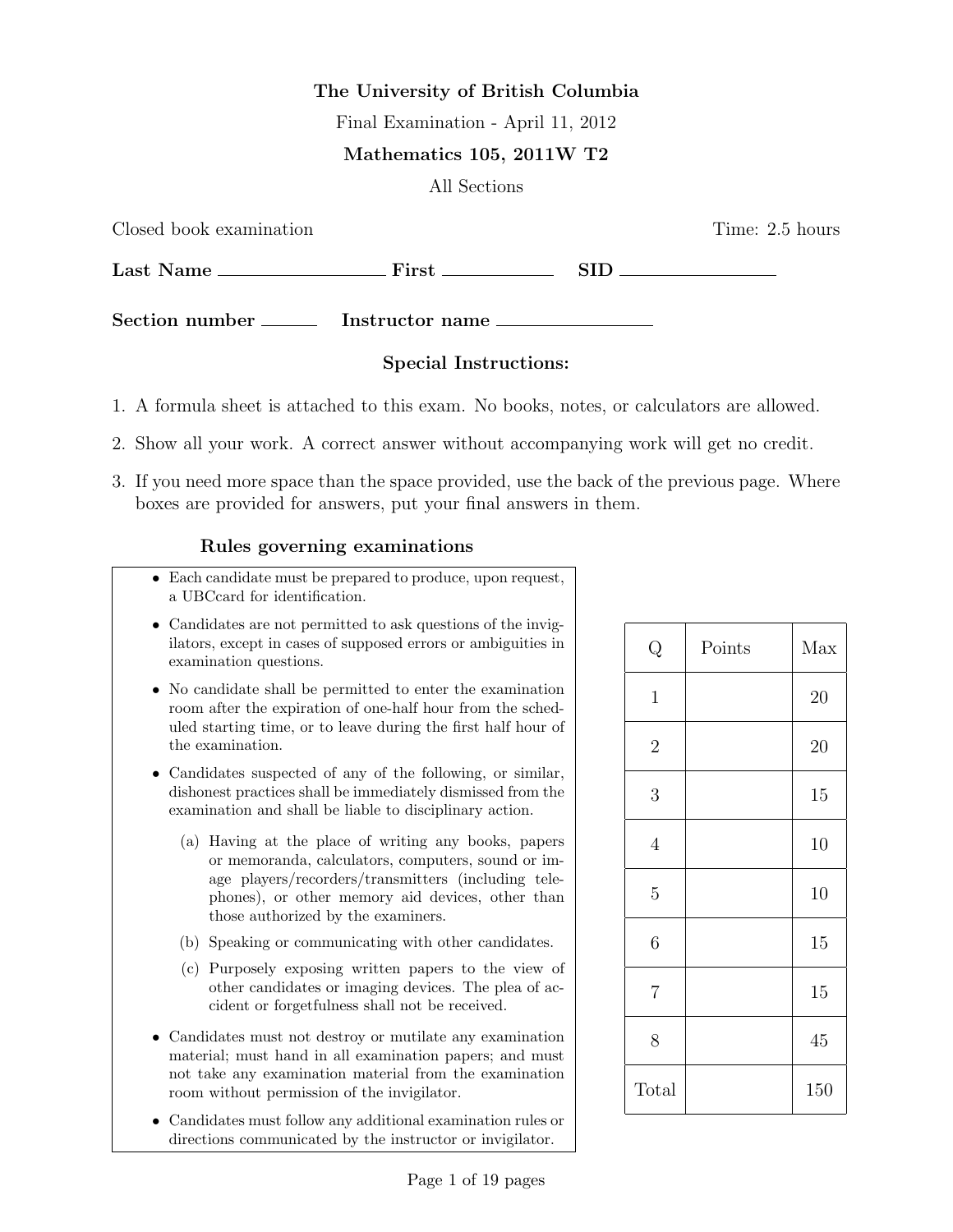# The University of British Columbia

Final Examination - April 11, 2012

# Mathematics 105, 2011W T2

All Sections

Closed book examination **Time:** 2.5 hours  $Last Name \_\_\_\_\_$  First  $\_\_\_\_\_$  SID  $\_\_\_\_\_\_\_$ Section number Instructor name

# Special Instructions:

- 1. A formula sheet is attached to this exam. No books, notes, or calculators are allowed.
- 2. Show all your work. A correct answer without accompanying work will get no credit.
- 3. If you need more space than the space provided, use the back of the previous page. Where boxes are provided for answers, put your final answers in them.

# Rules governing examinations

- Each candidate must be prepared to produce, upon request, a UBCcard for identification.
- Candidates are not permitted to ask questions of the invigilators, except in cases of supposed errors or ambiguities in examination questions.
- No candidate shall be permitted to enter the examination room after the expiration of one-half hour from the scheduled starting time, or to leave during the first half hour of the examination.
- Candidates suspected of any of the following, or similar, dishonest practices shall be immediately dismissed from the examination and shall be liable to disciplinary action.
	- (a) Having at the place of writing any books, papers or memoranda, calculators, computers, sound or image players/recorders/transmitters (including telephones), or other memory aid devices, other than those authorized by the examiners.
	- (b) Speaking or communicating with other candidates.
	- (c) Purposely exposing written papers to the view of other candidates or imaging devices. The plea of accident or forgetfulness shall not be received.
- Candidates must not destroy or mutilate any examination material; must hand in all examination papers; and must not take any examination material from the examination room without permission of the invigilator.
- Candidates must follow any additional examination rules or directions communicated by the instructor or invigilator.

| $\mathbf Q$      | Points | Max |
|------------------|--------|-----|
| $\mathbf{1}$     |        | 20  |
| $\overline{2}$   |        | 20  |
| 3                |        | 15  |
| $\overline{4}$   |        | 10  |
| $\overline{5}$   |        | 10  |
| $\boldsymbol{6}$ |        | 15  |
| $\overline{7}$   |        | 15  |
| 8                |        | 45  |
| Total            |        | 150 |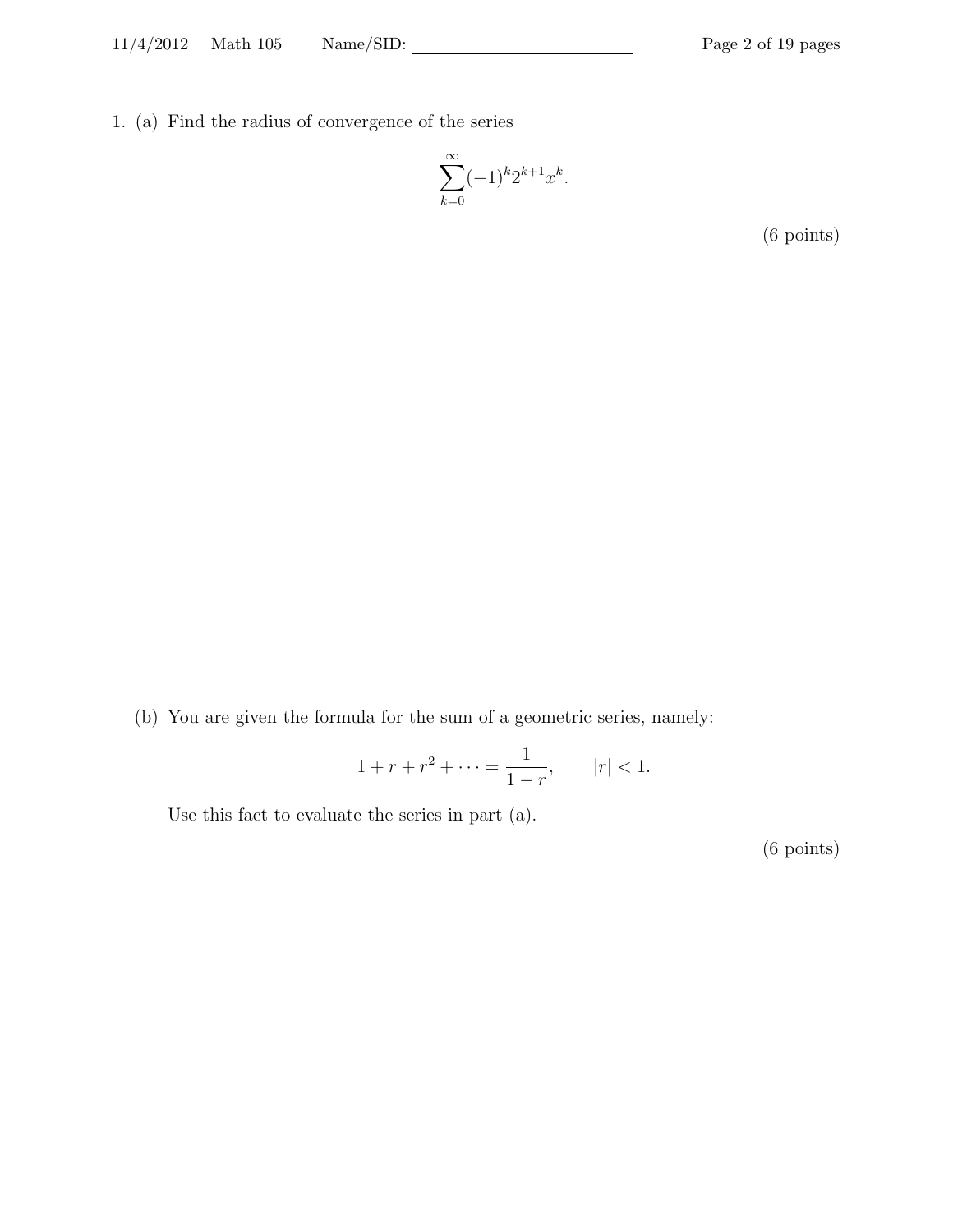1. (a) Find the radius of convergence of the series

$$
\sum_{k=0}^{\infty} (-1)^k 2^{k+1} x^k.
$$

(6 points)

(b) You are given the formula for the sum of a geometric series, namely:

$$
1 + r + r^2 + \dots = \frac{1}{1 - r}, \qquad |r| < 1.
$$

Use this fact to evaluate the series in part (a).

(6 points)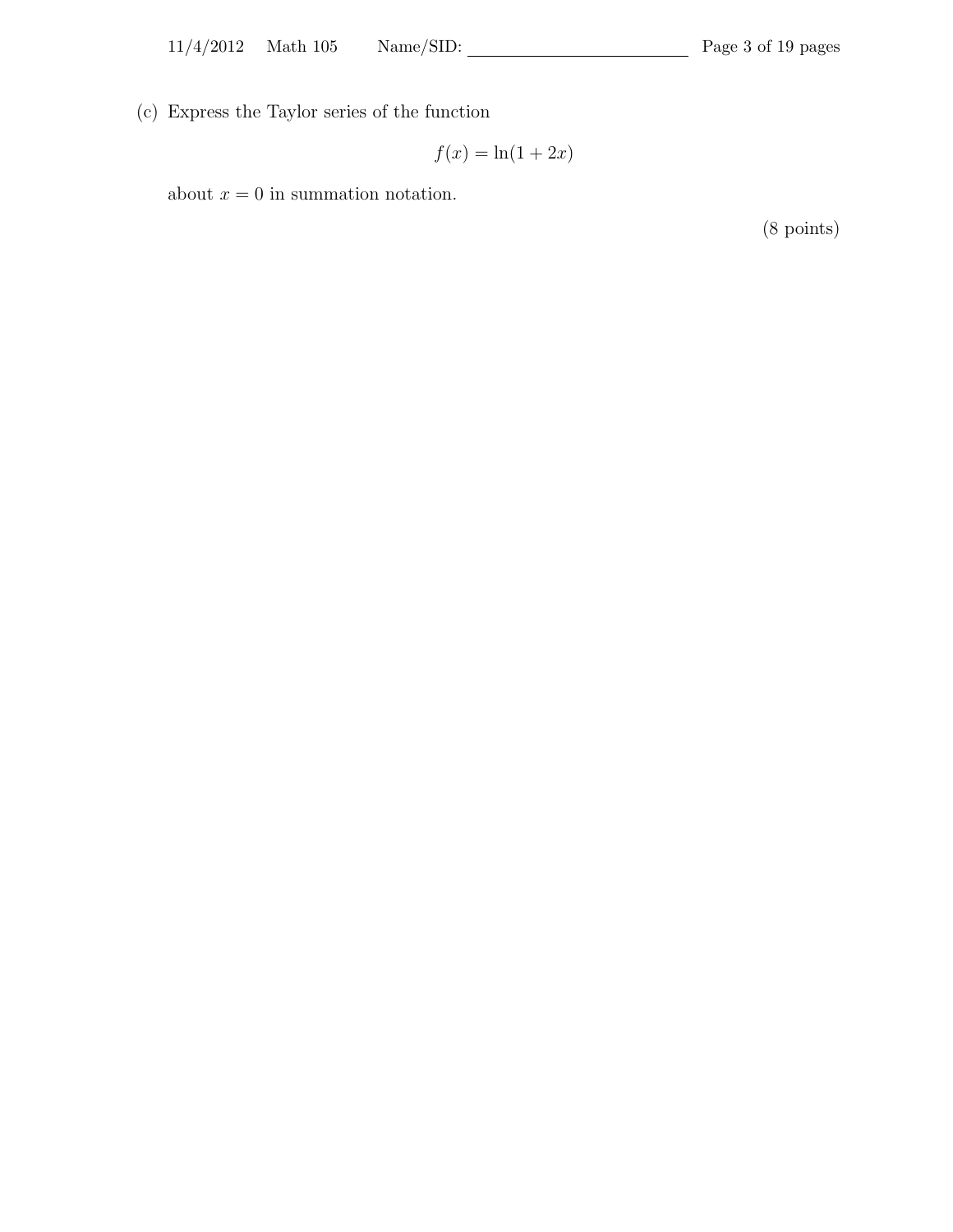(c) Express the Taylor series of the function

$$
f(x) = \ln(1 + 2x)
$$

about  $x = 0$  in summation notation.

(8 points)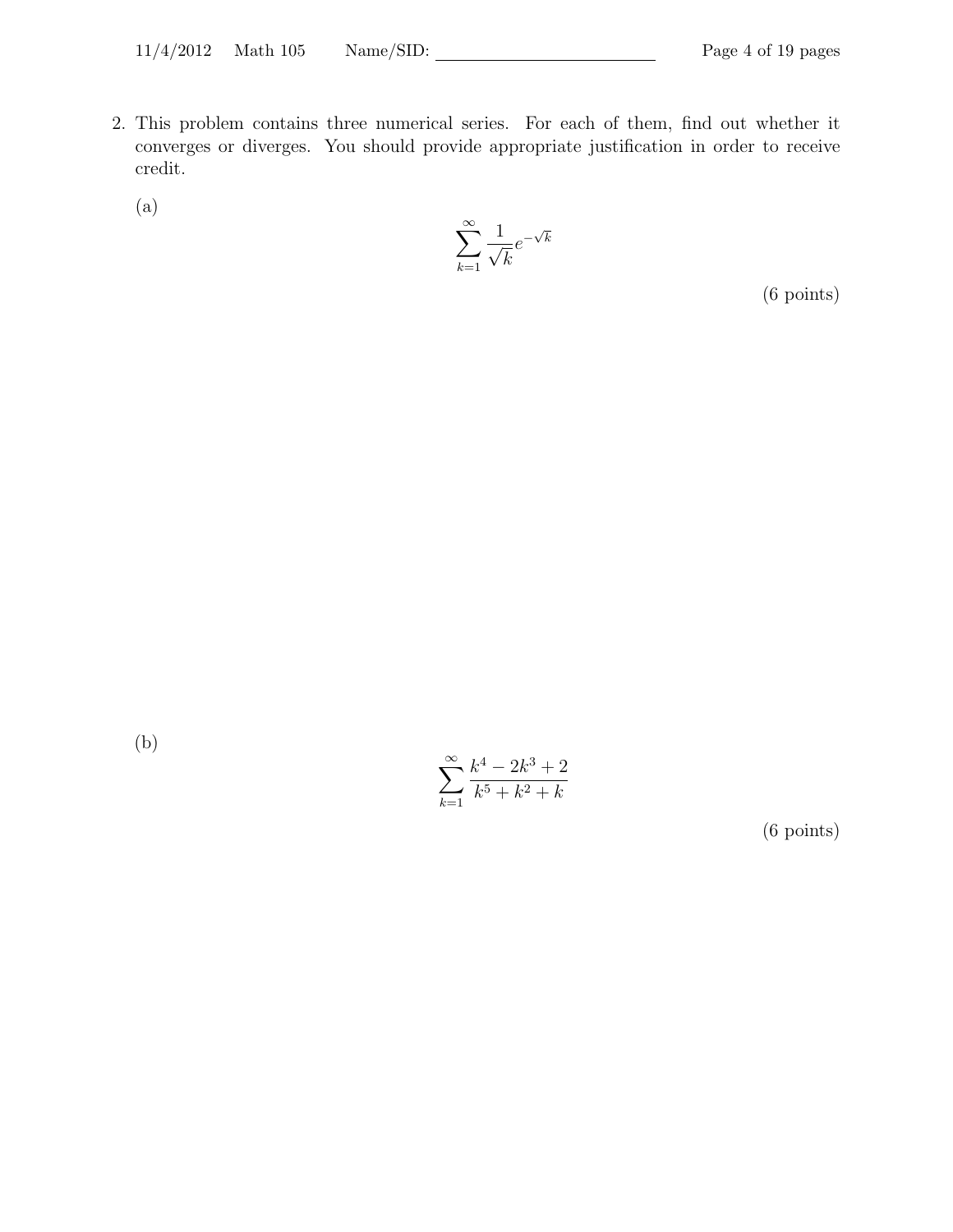- 2. This problem contains three numerical series. For each of them, find out whether it converges or diverges. You should provide appropriate justification in order to receive credit.
	- (a)

$$
\sum_{k=1}^{\infty} \frac{1}{\sqrt{k}} e^{-\sqrt{k}}
$$

(6 points)

(b)

$$
\sum_{k=1}^{\infty} \frac{k^4 - 2k^3 + 2}{k^5 + k^2 + k}
$$

(6 points)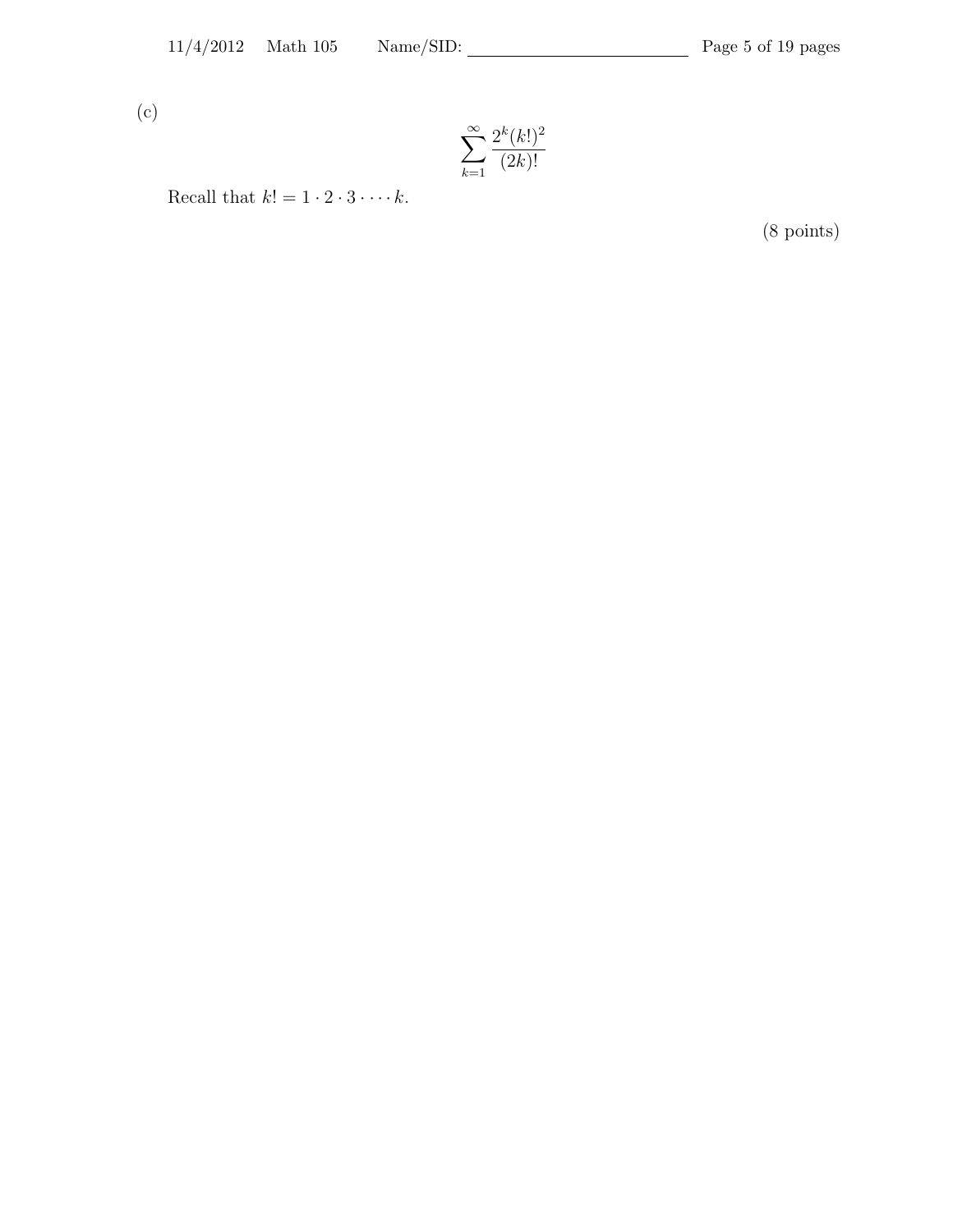(c)

$$
\sum_{k=1}^{\infty} \frac{2^k (k!)^2}{(2k)!}
$$

Recall that  $k! = 1 \cdot 2 \cdot 3 \cdot \cdots k$ .

(8 points)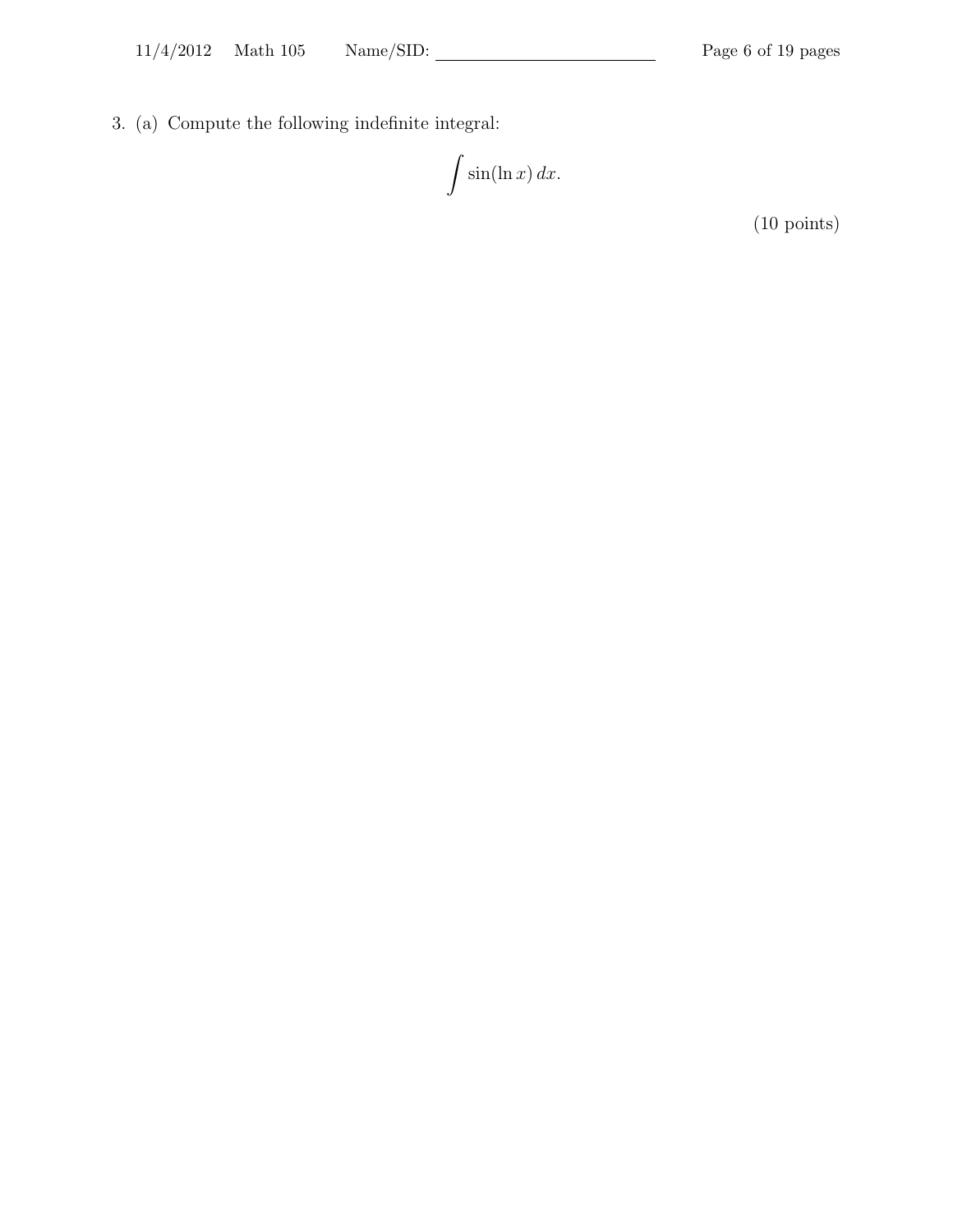3. (a) Compute the following indefinite integral:

$$
\int \sin(\ln x) \, dx.
$$

(10 points)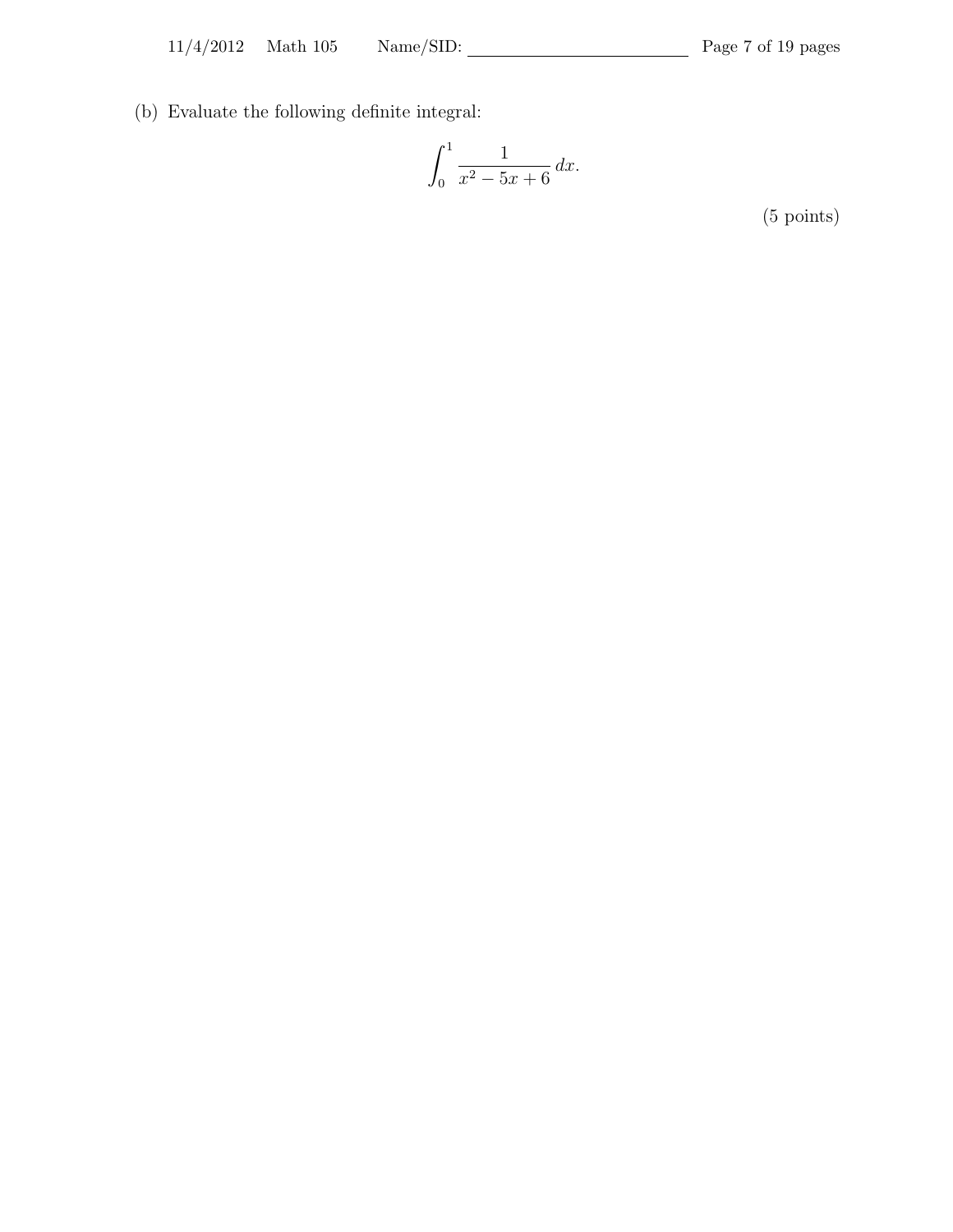(b) Evaluate the following definite integral:

$$
\int_0^1 \frac{1}{x^2 - 5x + 6} \, dx.
$$

(5 points)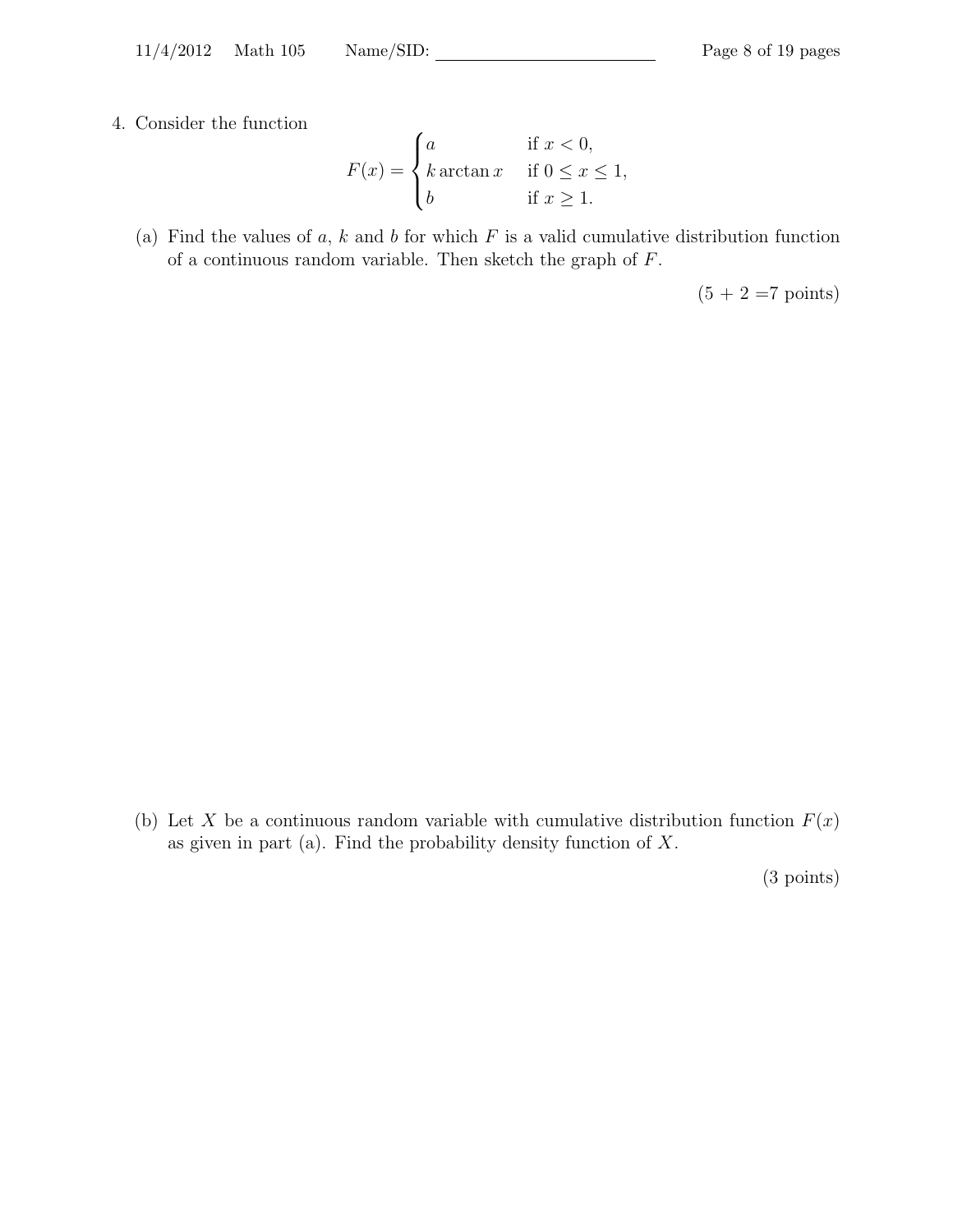11/4/2012 Math 105 Name/SID: Page 8 of 19 pages

4. Consider the function

$$
F(x) = \begin{cases} a & \text{if } x < 0, \\ k \arctan x & \text{if } 0 \le x \le 1, \\ b & \text{if } x \ge 1. \end{cases}
$$

(a) Find the values of  $a, k$  and  $b$  for which  $F$  is a valid cumulative distribution function of a continuous random variable. Then sketch the graph of F.

 $(5 + 2 = 7 \text{ points})$ 

(b) Let X be a continuous random variable with cumulative distribution function  $F(x)$ as given in part (a). Find the probability density function of  $X$ .

(3 points)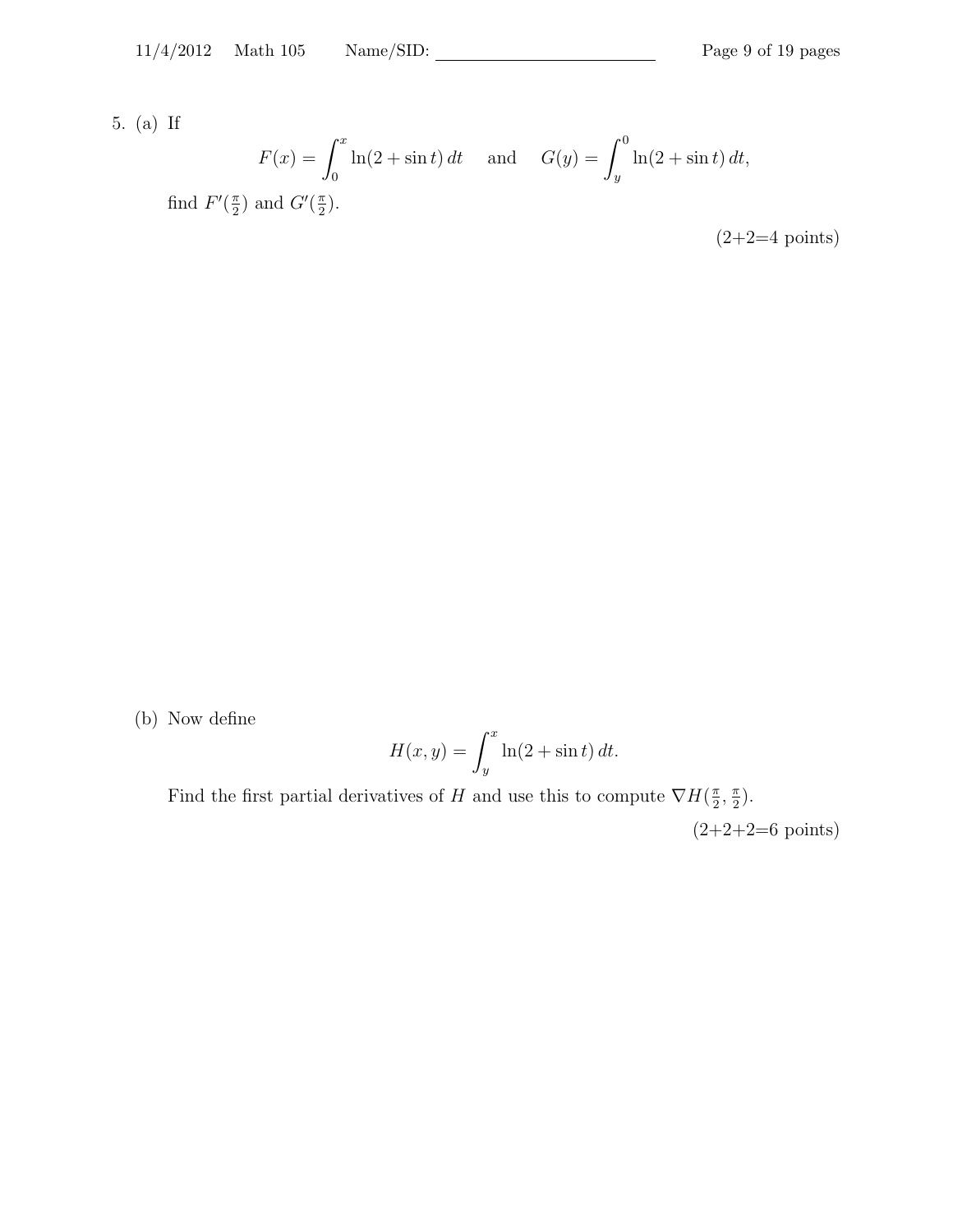5. (a) If

$$
F(x) = \int_0^x \ln(2 + \sin t) dt \quad \text{and} \quad G(y) = \int_y^0 \ln(2 + \sin t) dt,
$$
  
find  $F'(\frac{\pi}{2})$  and  $G'(\frac{\pi}{2})$ .

 $(2+2=4 \text{ points})$ 

(b) Now define

$$
H(x, y) = \int_{y}^{x} \ln(2 + \sin t) dt.
$$

Find the first partial derivatives of H and use this to compute  $\nabla H(\frac{\pi}{2})$  $\frac{\pi}{2}$ ,  $\frac{\pi}{2}$  $\frac{\pi}{2}$ .

 $(2+2+2=6 \text{ points})$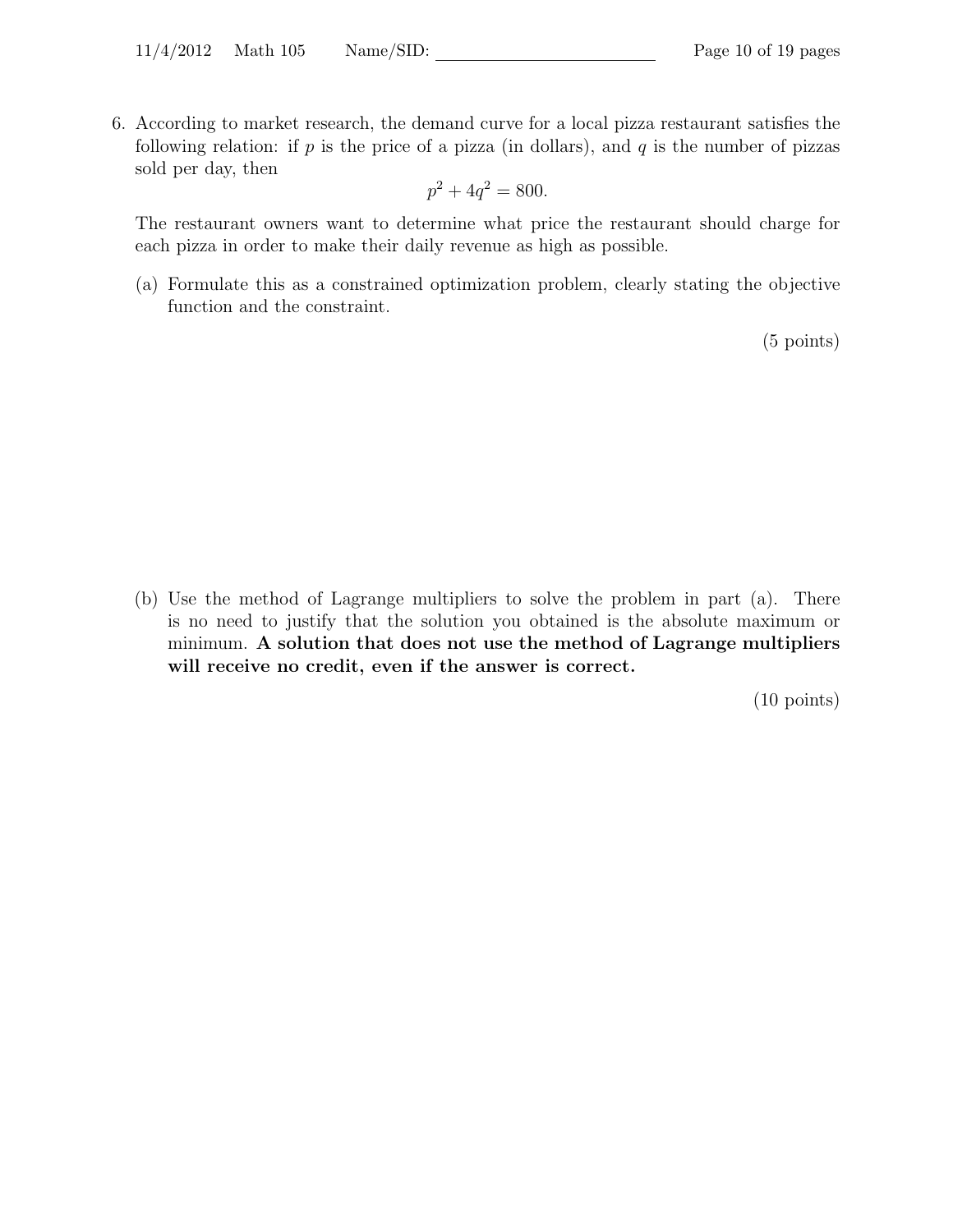6. According to market research, the demand curve for a local pizza restaurant satisfies the following relation: if  $p$  is the price of a pizza (in dollars), and  $q$  is the number of pizzas sold per day, then

$$
p^2 + 4q^2 = 800.
$$

The restaurant owners want to determine what price the restaurant should charge for each pizza in order to make their daily revenue as high as possible.

(a) Formulate this as a constrained optimization problem, clearly stating the objective function and the constraint.

(5 points)

(b) Use the method of Lagrange multipliers to solve the problem in part (a). There is no need to justify that the solution you obtained is the absolute maximum or minimum. A solution that does not use the method of Lagrange multipliers will receive no credit, even if the answer is correct.

(10 points)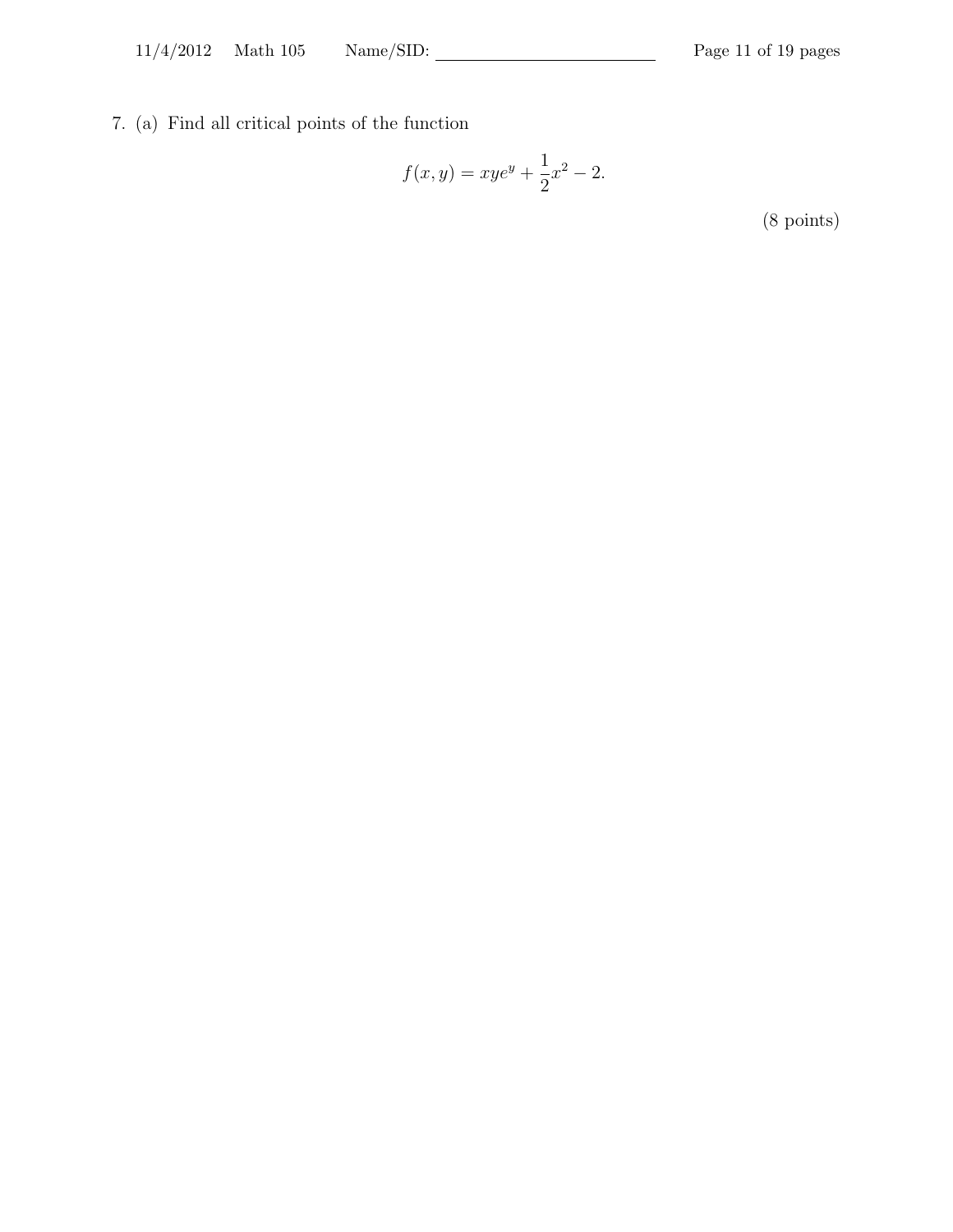7. (a) Find all critical points of the function

$$
f(x,y) = xye^y + \frac{1}{2}x^2 - 2.
$$

(8 points)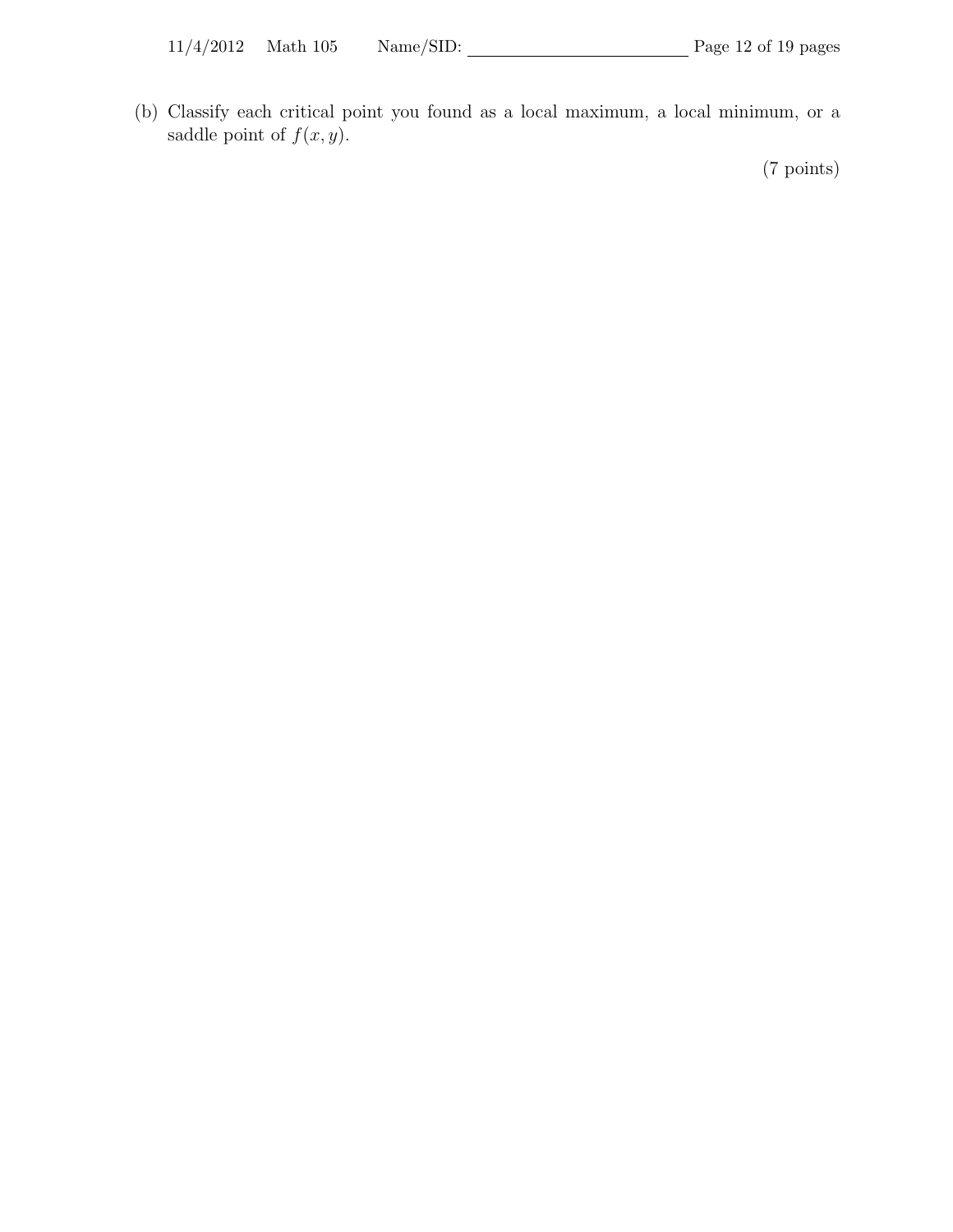(b) Classify each critical point you found as a local maximum, a local minimum, or a saddle point of  $f(x, y)$ .

(7 points)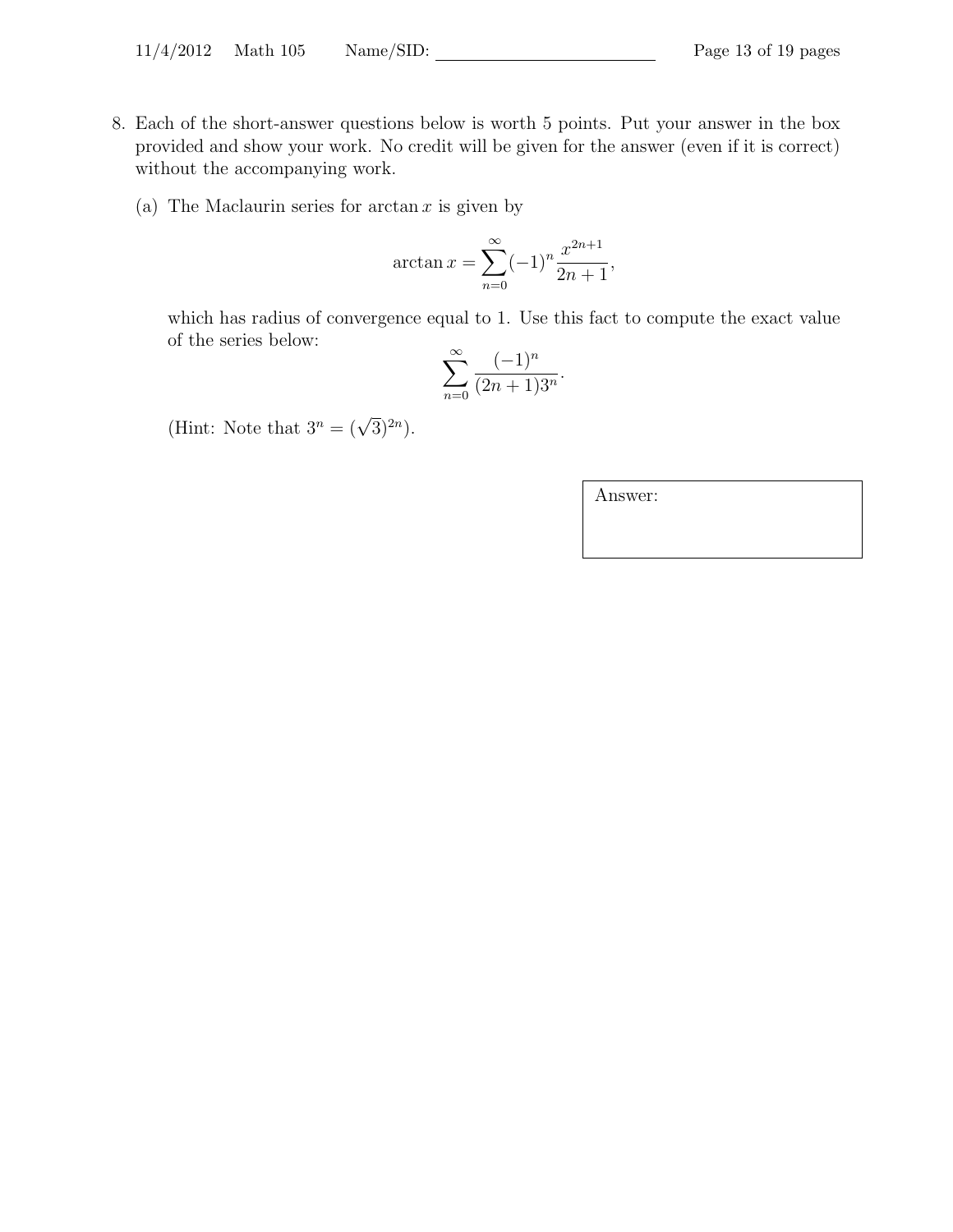- 8. Each of the short-answer questions below is worth 5 points. Put your answer in the box provided and show your work. No credit will be given for the answer (even if it is correct) without the accompanying work.
	- (a) The Maclaurin series for  $arctan x$  is given by

$$
\arctan x = \sum_{n=0}^{\infty} (-1)^n \frac{x^{2n+1}}{2n+1},
$$

which has radius of convergence equal to 1. Use this fact to compute the exact value of the series below:

$$
\sum_{n=0}^{\infty} \frac{(-1)^n}{(2n+1)3^n}.
$$

(Hint: Note that  $3^n = (\sqrt{3})^{2n}$ ).

Answer: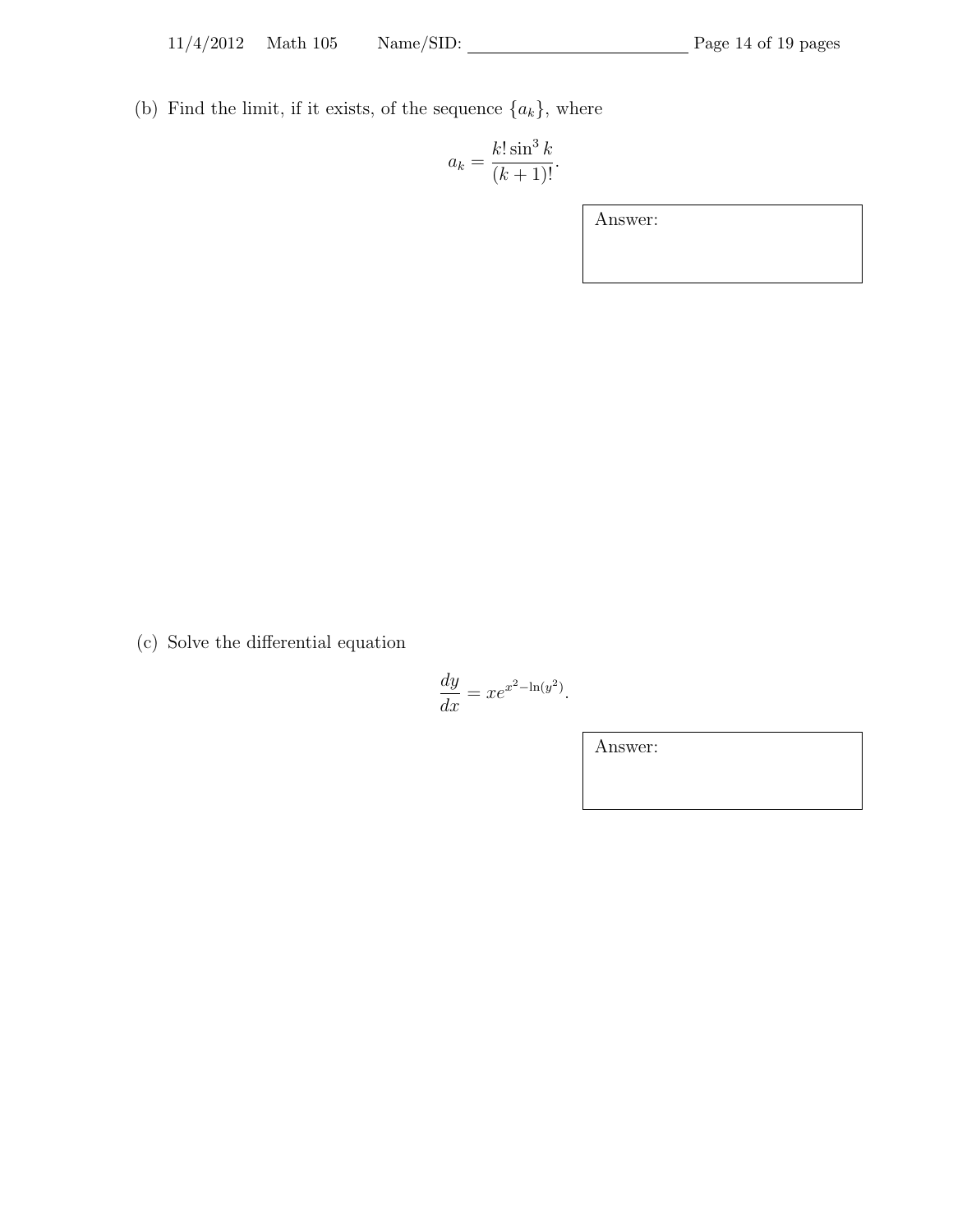(b) Find the limit, if it exists, of the sequence  $\{a_k\}$ , where

$$
a_k = \frac{k! \sin^3 k}{(k+1)!}.
$$

Answer:

(c) Solve the differential equation

$$
\frac{dy}{dx} = xe^{x^2 - \ln(y^2)}.
$$

Answer: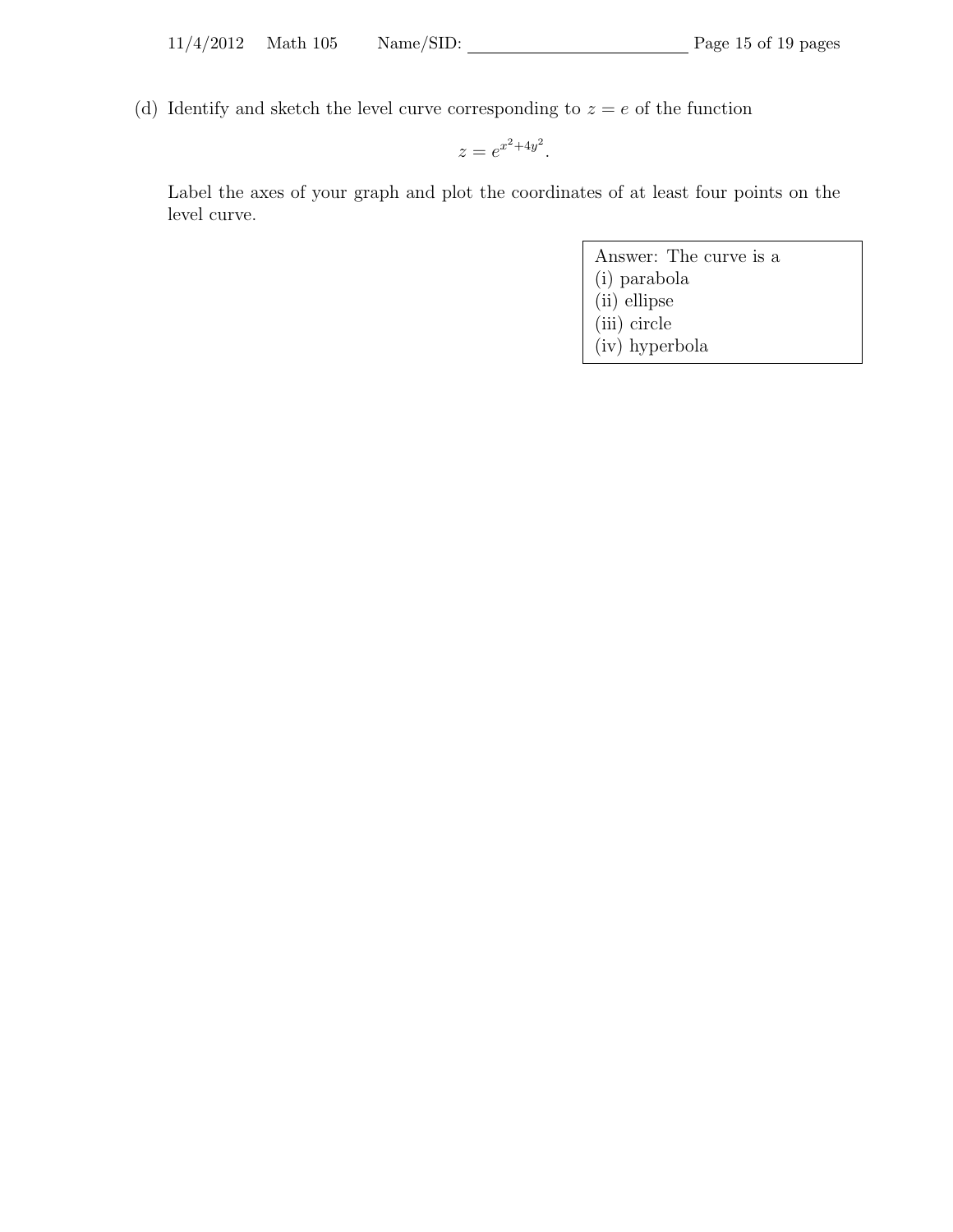(d) Identify and sketch the level curve corresponding to  $z = e$  of the function

 $z = e^{x^2 + 4y^2}.$ 

Label the axes of your graph and plot the coordinates of at least four points on the level curve.

- Answer: The curve is a
- (i) parabola
- (ii) ellipse (iii) circle
- (iv) hyperbola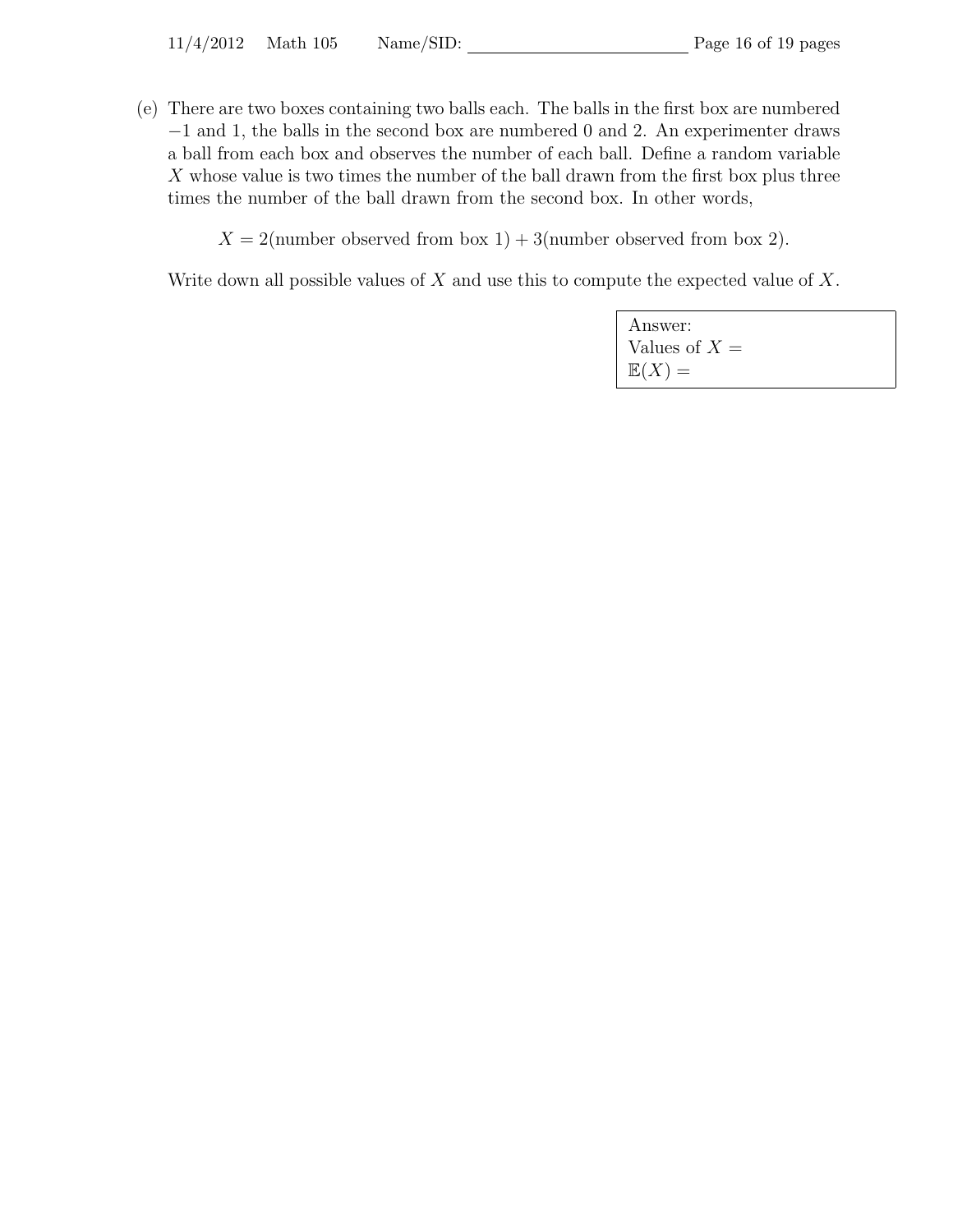(e) There are two boxes containing two balls each. The balls in the first box are numbered −1 and 1, the balls in the second box are numbered 0 and 2. An experimenter draws a ball from each box and observes the number of each ball. Define a random variable  $X$  whose value is two times the number of the ball drawn from the first box plus three times the number of the ball drawn from the second box. In other words,

 $X = 2$ (number observed from box 1) + 3(number observed from box 2).

Write down all possible values of  $X$  and use this to compute the expected value of  $X$ .

| Answer:           |  |
|-------------------|--|
| Values of $X =$   |  |
| $\mathbb{E}(X) =$ |  |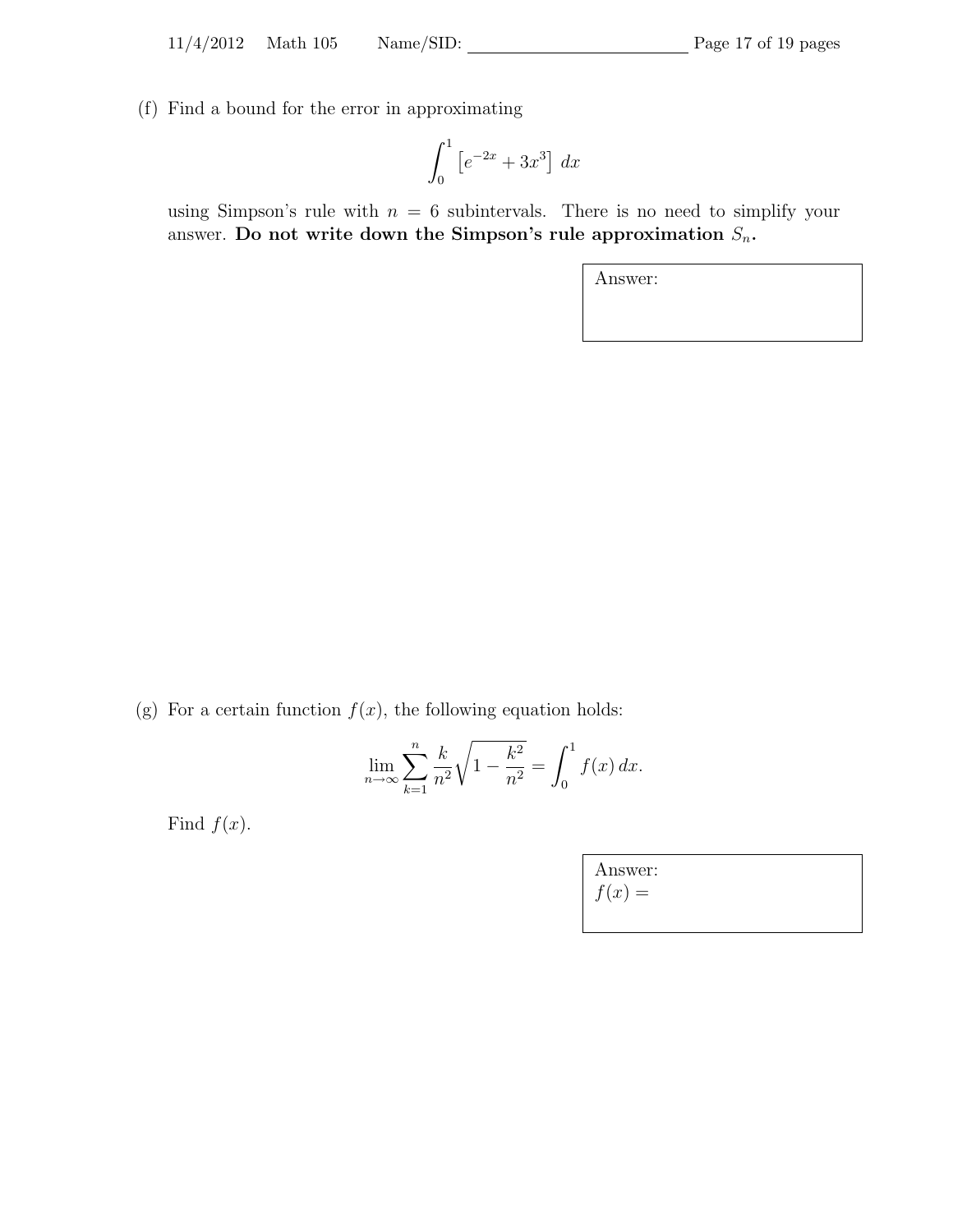(f) Find a bound for the error in approximating

$$
\int_0^1 \left[ e^{-2x} + 3x^3 \right] \, dx
$$

using Simpson's rule with  $n = 6$  subintervals. There is no need to simplify your answer. Do not write down the Simpson's rule approximation  $S_n$ .

Answer:

(g) For a certain function  $f(x)$ , the following equation holds:

$$
\lim_{n \to \infty} \sum_{k=1}^{n} \frac{k}{n^2} \sqrt{1 - \frac{k^2}{n^2}} = \int_0^1 f(x) \, dx.
$$

Find  $f(x)$ .

Answer:  $f(x) =$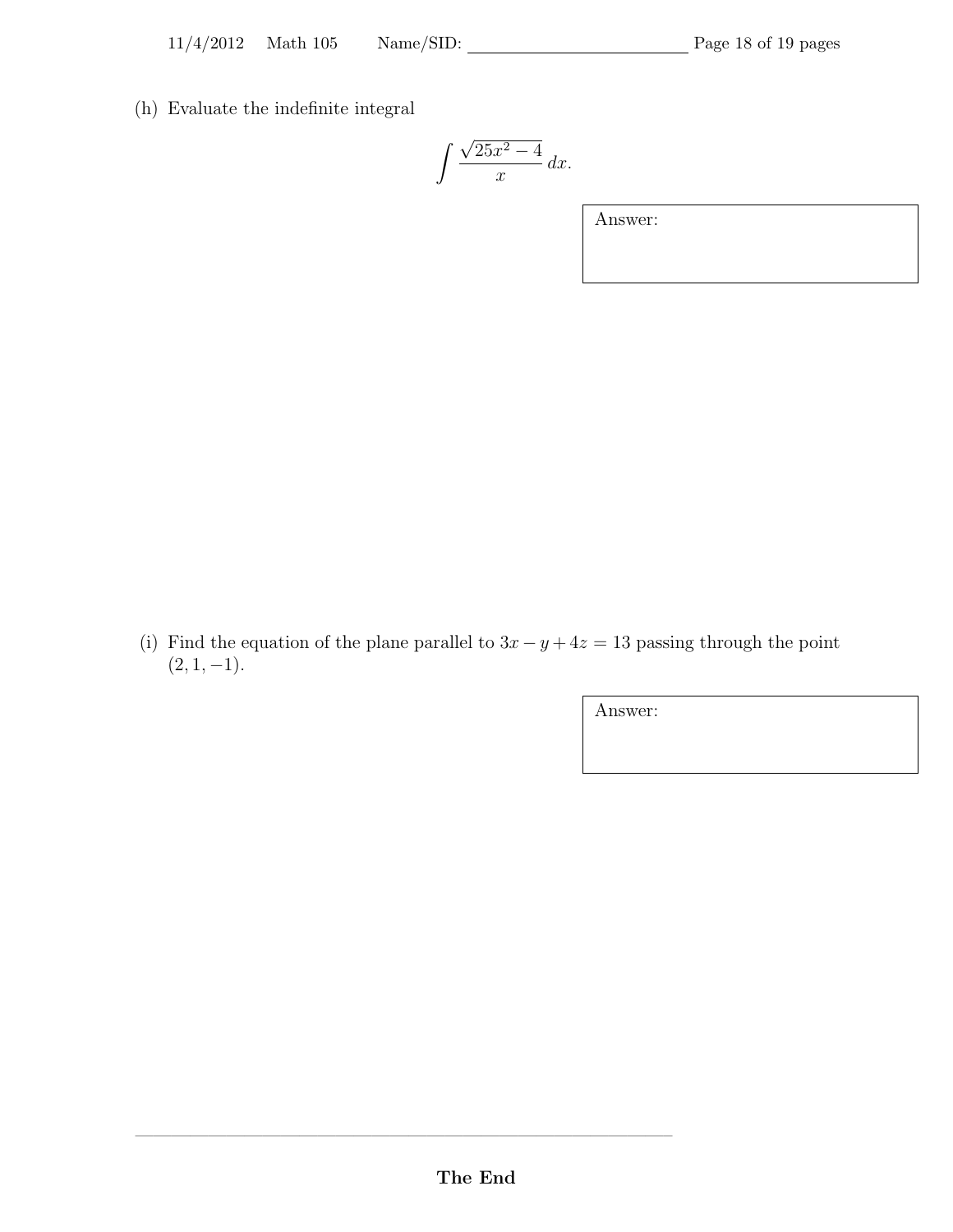(h) Evaluate the indefinite integral

$$
\int \frac{\sqrt{25x^2 - 4}}{x} \, dx.
$$

Answer:

(i) Find the equation of the plane parallel to  $3x - y + 4z = 13$  passing through the point  $(2, 1, -1).$ 

Answer:

 $\longrightarrow$  . The contract of the contract of  $\mathcal{A}$  ,  $\mathcal{A}$  ,  $\mathcal{A}$  ,  $\mathcal{A}$  ,  $\mathcal{A}$  ,  $\mathcal{A}$  ,  $\mathcal{A}$  ,  $\mathcal{A}$  ,  $\mathcal{A}$  ,  $\mathcal{A}$  ,  $\mathcal{A}$  ,  $\mathcal{A}$  ,  $\mathcal{A}$  ,  $\mathcal{A}$  ,  $\mathcal{A}$  ,  $\mathcal{A}$  ,  $\mathcal{A$